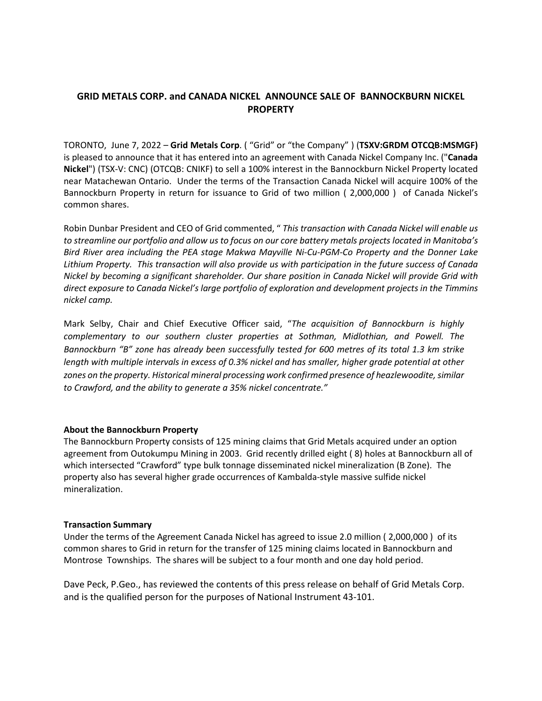# **GRID METALS CORP. and CANADA NICKEL ANNOUNCE SALE OF BANNOCKBURN NICKEL PROPERTY**

TORONTO, June 7, 2022 – **Grid Metals Corp**. ( "Grid" or "the Company" ) (**TSXV:GRDM OTCQB:MSMGF)** is pleased to announce that it has entered into an agreement with Canada Nickel Company Inc. ("**Canada Nickel**") (TSX-V: CNC) (OTCQB: CNIKF) to sell a 100% interest in the Bannockburn Nickel Property located near Matachewan Ontario. Under the terms of the Transaction Canada Nickel will acquire 100% of the Bannockburn Property in return for issuance to Grid of two million ( 2,000,000 ) of Canada Nickel's common shares.

Robin Dunbar President and CEO of Grid commented, " *This transaction with Canada Nickel will enable us to streamline our portfolio and allow us to focus on our core battery metals projects located in Manitoba's Bird River area including the PEA stage Makwa Mayville Ni-Cu-PGM-Co Property and the Donner Lake Lithium Property. This transaction will also provide us with participation in the future success of Canada Nickel by becoming a significant shareholder. Our share position in Canada Nickel will provide Grid with direct exposure to Canada Nickel's large portfolio of exploration and development projects in the Timmins nickel camp.* 

Mark Selby, Chair and Chief Executive Officer said, "*The acquisition of Bannockburn is highly complementary to our southern cluster properties at Sothman, Midlothian, and Powell. The Bannockburn "B" zone has already been successfully tested for 600 metres of its total 1.3 km strike length with multiple intervals in excess of 0.3% nickel and has smaller, higher grade potential at other zones on the property. Historical mineral processing work confirmed presence of heazlewoodite,similar to Crawford, and the ability to generate a 35% nickel concentrate."*

#### **About the Bannockburn Property**

The Bannockburn Property consists of 125 mining claims that Grid Metals acquired under an option agreement from Outokumpu Mining in 2003. Grid recently drilled eight ( 8) holes at Bannockburn all of which intersected "Crawford" type bulk tonnage disseminated nickel mineralization (B Zone). The property also has several higher grade occurrences of Kambalda-style massive sulfide nickel mineralization.

#### **Transaction Summary**

Under the terms of the Agreement Canada Nickel has agreed to issue 2.0 million ( 2,000,000 ) of its common shares to Grid in return for the transfer of 125 mining claims located in Bannockburn and Montrose Townships. The shares will be subject to a four month and one day hold period.

Dave Peck, P.Geo., has reviewed the contents of this press release on behalf of Grid Metals Corp. and is the qualified person for the purposes of National Instrument 43-101.